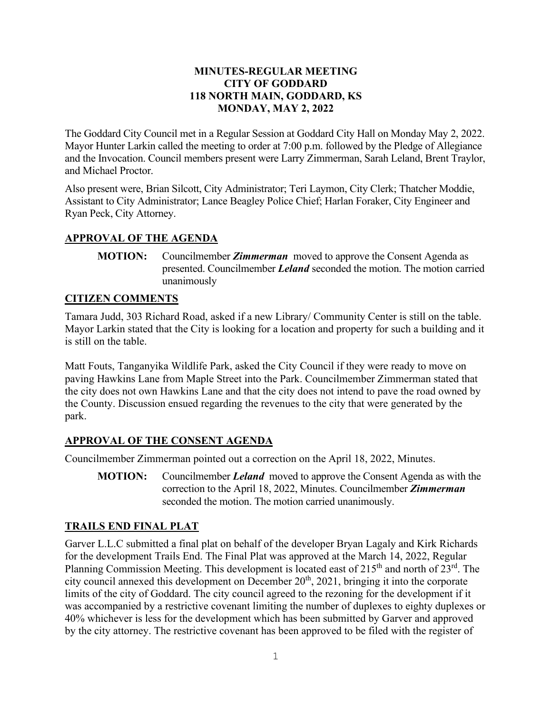#### **MINUTES-REGULAR MEETING CITY OF GODDARD 118 NORTH MAIN, GODDARD, KS MONDAY, MAY 2, 2022**

The Goddard City Council met in a Regular Session at Goddard City Hall on Monday May 2, 2022. Mayor Hunter Larkin called the meeting to order at 7:00 p.m. followed by the Pledge of Allegiance and the Invocation. Council members present were Larry Zimmerman, Sarah Leland, Brent Traylor, and Michael Proctor.

Also present were, Brian Silcott, City Administrator; Teri Laymon, City Clerk; Thatcher Moddie, Assistant to City Administrator; Lance Beagley Police Chief; Harlan Foraker, City Engineer and Ryan Peck, City Attorney.

## **APPROVAL OF THE AGENDA**

**MOTION:** Councilmember *Zimmerman* moved to approve the Consent Agenda as presented. Councilmember *Leland* seconded the motion. The motion carried unanimously

## **CITIZEN COMMENTS**

Tamara Judd, 303 Richard Road, asked if a new Library/ Community Center is still on the table. Mayor Larkin stated that the City is looking for a location and property for such a building and it is still on the table.

Matt Fouts, Tanganyika Wildlife Park, asked the City Council if they were ready to move on paving Hawkins Lane from Maple Street into the Park. Councilmember Zimmerman stated that the city does not own Hawkins Lane and that the city does not intend to pave the road owned by the County. Discussion ensued regarding the revenues to the city that were generated by the park.

# **APPROVAL OF THE CONSENT AGENDA**

Councilmember Zimmerman pointed out a correction on the April 18, 2022, Minutes.

**MOTION:** Councilmember *Leland* moved to approve the Consent Agenda as with the correction to the April 18, 2022, Minutes. Councilmember *Zimmerman* seconded the motion. The motion carried unanimously.

# **TRAILS END FINAL PLAT**

Garver L.L.C submitted a final plat on behalf of the developer Bryan Lagaly and Kirk Richards for the development Trails End. The Final Plat was approved at the March 14, 2022, Regular Planning Commission Meeting. This development is located east of  $215<sup>th</sup>$  and north of  $23<sup>rd</sup>$ . The city council annexed this development on December  $20<sup>th</sup>$ ,  $2021$ , bringing it into the corporate limits of the city of Goddard. The city council agreed to the rezoning for the development if it was accompanied by a restrictive covenant limiting the number of duplexes to eighty duplexes or 40% whichever is less for the development which has been submitted by Garver and approved by the city attorney. The restrictive covenant has been approved to be filed with the register of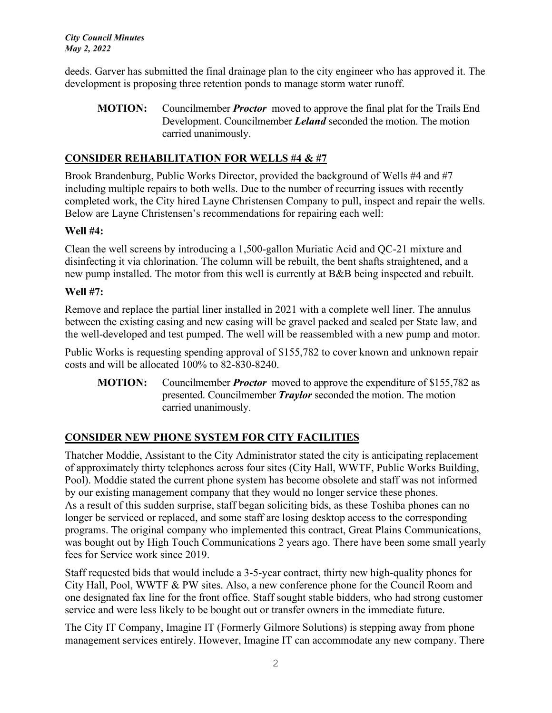deeds. Garver has submitted the final drainage plan to the city engineer who has approved it. The development is proposing three retention ponds to manage storm water runoff.

**MOTION:** Councilmember *Proctor* moved to approve the final plat for the Trails End Development. Councilmember *Leland* seconded the motion. The motion carried unanimously.

# **CONSIDER REHABILITATION FOR WELLS #4 & #7**

Brook Brandenburg, Public Works Director, provided the background of Wells #4 and #7 including multiple repairs to both wells. Due to the number of recurring issues with recently completed work, the City hired Layne Christensen Company to pull, inspect and repair the wells. Below are Layne Christensen's recommendations for repairing each well:

## **Well #4:**

Clean the well screens by introducing a 1,500-gallon Muriatic Acid and QC-21 mixture and disinfecting it via chlorination. The column will be rebuilt, the bent shafts straightened, and a new pump installed. The motor from this well is currently at B&B being inspected and rebuilt.

#### **Well #7:**

Remove and replace the partial liner installed in 2021 with a complete well liner. The annulus between the existing casing and new casing will be gravel packed and sealed per State law, and the well-developed and test pumped. The well will be reassembled with a new pump and motor.

Public Works is requesting spending approval of \$155,782 to cover known and unknown repair costs and will be allocated 100% to 82-830-8240.

**MOTION:** Councilmember *Proctor* moved to approve the expenditure of \$155,782 as presented. Councilmember *Traylor* seconded the motion. The motion carried unanimously.

## **CONSIDER NEW PHONE SYSTEM FOR CITY FACILITIES**

Thatcher Moddie, Assistant to the City Administrator stated the city is anticipating replacement of approximately thirty telephones across four sites (City Hall, WWTF, Public Works Building, Pool). Moddie stated the current phone system has become obsolete and staff was not informed by our existing management company that they would no longer service these phones. As a result of this sudden surprise, staff began soliciting bids, as these Toshiba phones can no longer be serviced or replaced, and some staff are losing desktop access to the corresponding programs. The original company who implemented this contract, Great Plains Communications, was bought out by High Touch Communications 2 years ago. There have been some small yearly fees for Service work since 2019.

Staff requested bids that would include a 3-5-year contract, thirty new high-quality phones for City Hall, Pool, WWTF & PW sites. Also, a new conference phone for the Council Room and one designated fax line for the front office. Staff sought stable bidders, who had strong customer service and were less likely to be bought out or transfer owners in the immediate future.

The City IT Company, Imagine IT (Formerly Gilmore Solutions) is stepping away from phone management services entirely. However, Imagine IT can accommodate any new company. There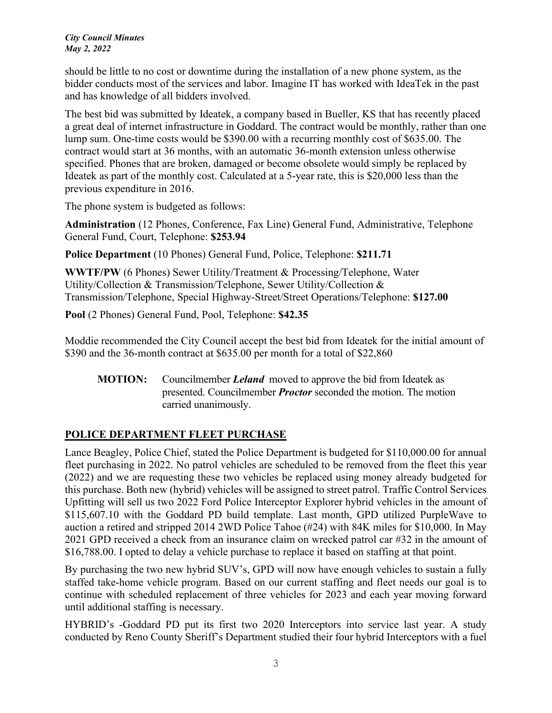should be little to no cost or downtime during the installation of a new phone system, as the bidder conducts most of the services and labor. Imagine IT has worked with IdeaTek in the past and has knowledge of all bidders involved.

The best bid was submitted by Ideatek, a company based in Bueller, KS that has recently placed a great deal of internet infrastructure in Goddard. The contract would be monthly, rather than one lump sum. One-time costs would be \$390.00 with a recurring monthly cost of \$635.00. The contract would start at 36 months, with an automatic 36-month extension unless otherwise specified. Phones that are broken, damaged or become obsolete would simply be replaced by Ideatek as part of the monthly cost. Calculated at a 5-year rate, this is \$20,000 less than the previous expenditure in 2016.

The phone system is budgeted as follows:

**Administration** (12 Phones, Conference, Fax Line) General Fund, Administrative, Telephone General Fund, Court, Telephone: **\$253.94**

**Police Department** (10 Phones) General Fund, Police, Telephone: **\$211.71**

**WWTF/PW** (6 Phones) Sewer Utility/Treatment & Processing/Telephone, Water Utility/Collection & Transmission/Telephone, Sewer Utility/Collection & Transmission/Telephone, Special Highway-Street/Street Operations/Telephone: **\$127.00**

**Pool** (2 Phones) General Fund, Pool, Telephone: **\$42.35**

Moddie recommended the City Council accept the best bid from Ideatek for the initial amount of \$390 and the 36-month contract at \$635.00 per month for a total of \$22,860

**MOTION:** Councilmember *Leland* moved to approve the bid from Ideatek as presented. Councilmember *Proctor* seconded the motion. The motion carried unanimously.

# **POLICE DEPARTMENT FLEET PURCHASE**

Lance Beagley, Police Chief, stated the Police Department is budgeted for \$110,000.00 for annual fleet purchasing in 2022. No patrol vehicles are scheduled to be removed from the fleet this year (2022) and we are requesting these two vehicles be replaced using money already budgeted for this purchase. Both new (hybrid) vehicles will be assigned to street patrol. Traffic Control Services Upfitting will sell us two 2022 Ford Police Interceptor Explorer hybrid vehicles in the amount of \$115,607.10 with the Goddard PD build template. Last month, GPD utilized PurpleWave to auction a retired and stripped 2014 2WD Police Tahoe (#24) with 84K miles for \$10,000. In May 2021 GPD received a check from an insurance claim on wrecked patrol car #32 in the amount of \$16,788.00. I opted to delay a vehicle purchase to replace it based on staffing at that point.

By purchasing the two new hybrid SUV's, GPD will now have enough vehicles to sustain a fully staffed take-home vehicle program. Based on our current staffing and fleet needs our goal is to continue with scheduled replacement of three vehicles for 2023 and each year moving forward until additional staffing is necessary.

HYBRID's -Goddard PD put its first two 2020 Interceptors into service last year. A study conducted by Reno County Sheriff's Department studied their four hybrid Interceptors with a fuel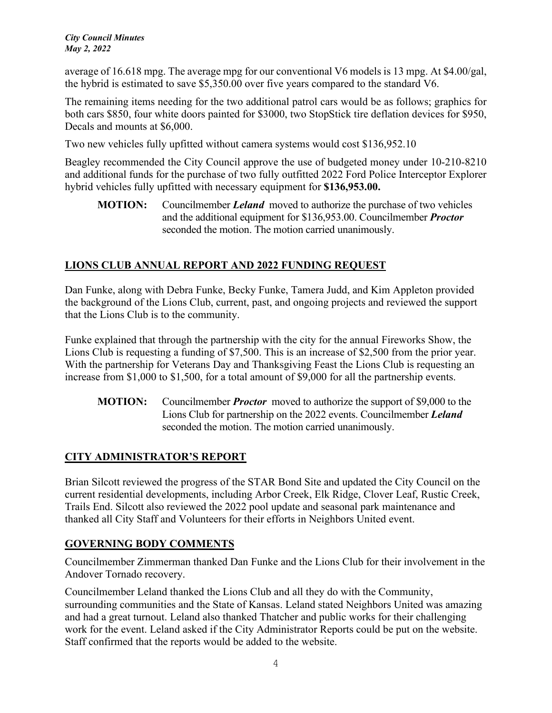average of 16.618 mpg. The average mpg for our conventional V6 models is 13 mpg. At \$4.00/gal, the hybrid is estimated to save \$5,350.00 over five years compared to the standard V6.

The remaining items needing for the two additional patrol cars would be as follows; graphics for both cars \$850, four white doors painted for \$3000, two StopStick tire deflation devices for \$950, Decals and mounts at \$6,000.

Two new vehicles fully upfitted without camera systems would cost \$136,952.10

Beagley recommended the City Council approve the use of budgeted money under 10-210-8210 and additional funds for the purchase of two fully outfitted 2022 Ford Police Interceptor Explorer hybrid vehicles fully upfitted with necessary equipment for **\$136,953.00.** 

**MOTION:** Councilmember *Leland* moved to authorize the purchase of two vehicles and the additional equipment for \$136,953.00. Councilmember *Proctor* seconded the motion. The motion carried unanimously.

# **LIONS CLUB ANNUAL REPORT AND 2022 FUNDING REQUEST**

Dan Funke, along with Debra Funke, Becky Funke, Tamera Judd, and Kim Appleton provided the background of the Lions Club, current, past, and ongoing projects and reviewed the support that the Lions Club is to the community.

Funke explained that through the partnership with the city for the annual Fireworks Show, the Lions Club is requesting a funding of \$7,500. This is an increase of \$2,500 from the prior year. With the partnership for Veterans Day and Thanksgiving Feast the Lions Club is requesting an increase from \$1,000 to \$1,500, for a total amount of \$9,000 for all the partnership events.

**MOTION:** Councilmember *Proctor* moved to authorize the support of \$9,000 to the Lions Club for partnership on the 2022 events. Councilmember *Leland* seconded the motion. The motion carried unanimously.

## **CITY ADMINISTRATOR'S REPORT**

Brian Silcott reviewed the progress of the STAR Bond Site and updated the City Council on the current residential developments, including Arbor Creek, Elk Ridge, Clover Leaf, Rustic Creek, Trails End. Silcott also reviewed the 2022 pool update and seasonal park maintenance and thanked all City Staff and Volunteers for their efforts in Neighbors United event.

## **GOVERNING BODY COMMENTS**

Councilmember Zimmerman thanked Dan Funke and the Lions Club for their involvement in the Andover Tornado recovery.

Councilmember Leland thanked the Lions Club and all they do with the Community, surrounding communities and the State of Kansas. Leland stated Neighbors United was amazing and had a great turnout. Leland also thanked Thatcher and public works for their challenging work for the event. Leland asked if the City Administrator Reports could be put on the website. Staff confirmed that the reports would be added to the website.